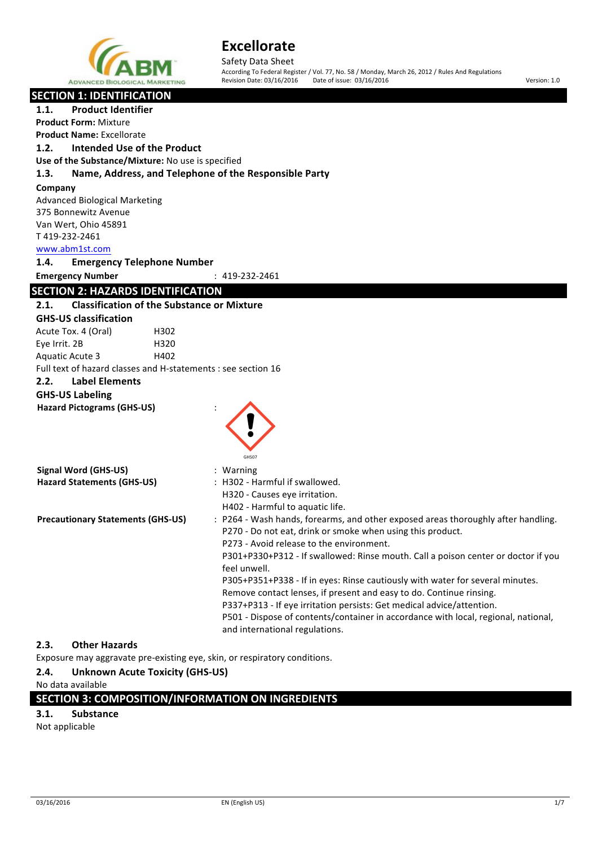

Safety Data Sheet According To Federal Register / Vol. 77, No. 58 / Monday, March 26, 2012 / Rules And Regulations

Revision Date: 03/16/2016 Date of issue: 03/16/2016 **Version: 1.0** Version: 1.0

### **SECTION 1: IDENTIFICATION**

| <b>Product Identifier</b><br>1.1.                                         |                                                                                    |
|---------------------------------------------------------------------------|------------------------------------------------------------------------------------|
| <b>Product Form: Mixture</b>                                              |                                                                                    |
| <b>Product Name: Excellorate</b>                                          |                                                                                    |
| <b>Intended Use of the Product</b><br>1.2.                                |                                                                                    |
| Use of the Substance/Mixture: No use is specified                         |                                                                                    |
| Name, Address, and Telephone of the Responsible Party<br>1.3.             |                                                                                    |
| Company                                                                   |                                                                                    |
| <b>Advanced Biological Marketing</b>                                      |                                                                                    |
| 375 Bonnewitz Avenue                                                      |                                                                                    |
| Van Wert, Ohio 45891                                                      |                                                                                    |
| T419-232-2461                                                             |                                                                                    |
| www.abm1st.com                                                            |                                                                                    |
| 1.4.<br><b>Emergency Telephone Number</b>                                 |                                                                                    |
| <b>Emergency Number</b>                                                   | : 419-232-2461                                                                     |
| <b>SECTION 2: HAZARDS IDENTIFICATION</b>                                  |                                                                                    |
| <b>Classification of the Substance or Mixture</b><br>2.1.                 |                                                                                    |
| <b>GHS-US classification</b>                                              |                                                                                    |
| Acute Tox. 4 (Oral)<br>H302                                               |                                                                                    |
| Eye Irrit. 2B<br>H320                                                     |                                                                                    |
| Aquatic Acute 3<br>H402                                                   |                                                                                    |
| Full text of hazard classes and H-statements : see section 16             |                                                                                    |
| 2.2.<br><b>Label Elements</b>                                             |                                                                                    |
| <b>GHS-US Labeling</b>                                                    |                                                                                    |
| <b>Hazard Pictograms (GHS-US)</b>                                         |                                                                                    |
|                                                                           |                                                                                    |
|                                                                           |                                                                                    |
|                                                                           |                                                                                    |
|                                                                           | GHS07                                                                              |
| <b>Signal Word (GHS-US)</b>                                               | : Warning                                                                          |
| <b>Hazard Statements (GHS-US)</b>                                         | : H302 - Harmful if swallowed.                                                     |
|                                                                           | H320 - Causes eye irritation.                                                      |
|                                                                           | H402 - Harmful to aquatic life.                                                    |
| <b>Precautionary Statements (GHS-US)</b>                                  | : P264 - Wash hands, forearms, and other exposed areas thoroughly after handling.  |
|                                                                           | P270 - Do not eat, drink or smoke when using this product.                         |
|                                                                           | P273 - Avoid release to the environment.                                           |
|                                                                           | P301+P330+P312 - If swallowed: Rinse mouth. Call a poison center or doctor if you  |
|                                                                           | feel unwell.                                                                       |
|                                                                           | P305+P351+P338 - If in eyes: Rinse cautiously with water for several minutes.      |
|                                                                           | Remove contact lenses, if present and easy to do. Continue rinsing.                |
|                                                                           | P337+P313 - If eye irritation persists: Get medical advice/attention.              |
|                                                                           | P501 - Dispose of contents/container in accordance with local, regional, national, |
|                                                                           | and international regulations.                                                     |
| <b>Other Hazards</b><br>2.3.                                              |                                                                                    |
| Exposure may aggravate pre-existing eye, skin, or respiratory conditions. |                                                                                    |
| 2.4.<br><b>Unknown Acute Toxicity (GHS-US)</b>                            |                                                                                    |

No data available

**SECTION 3: COMPOSITION/INFORMATION ON INGREDIENTS** 

#### **3.1. Substance**

Not applicable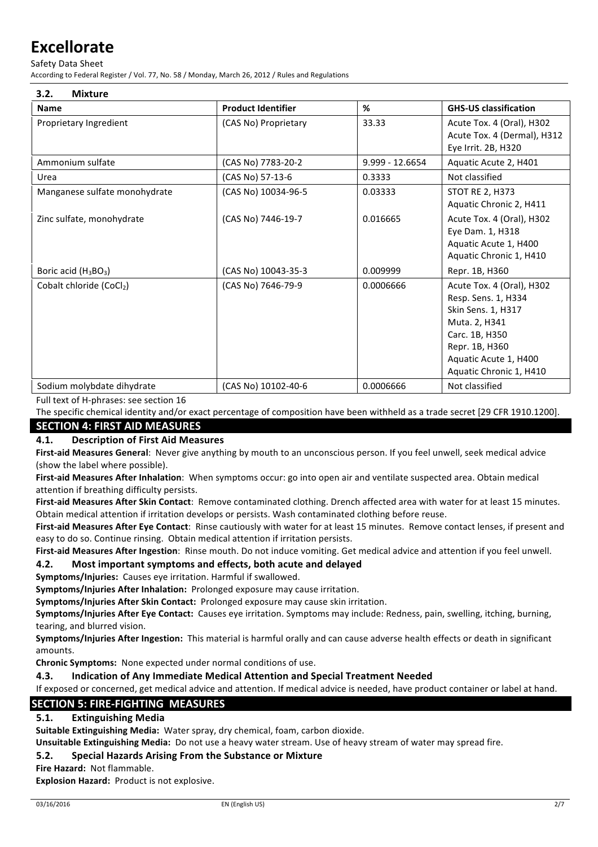Safety Data Sheet

According to Federal Register / Vol. 77, No. 58 / Monday, March 26, 2012 / Rules and Regulations

| 3.2.<br><b>Mixture</b>                       |                           |                   |                                                                                                                                                                                 |
|----------------------------------------------|---------------------------|-------------------|---------------------------------------------------------------------------------------------------------------------------------------------------------------------------------|
| <b>Name</b>                                  | <b>Product Identifier</b> | $\%$              | <b>GHS-US classification</b>                                                                                                                                                    |
| Proprietary Ingredient                       | (CAS No) Proprietary      | 33.33             | Acute Tox. 4 (Oral), H302<br>Acute Tox. 4 (Dermal), H312<br>Eye Irrit. 2B, H320                                                                                                 |
| Ammonium sulfate                             | (CAS No) 7783-20-2        | $9.999 - 12.6654$ | Aquatic Acute 2, H401                                                                                                                                                           |
| Urea                                         | (CAS No) 57-13-6          | 0.3333            | Not classified                                                                                                                                                                  |
| Manganese sulfate monohydrate                | (CAS No) 10034-96-5       | 0.03333           | <b>STOT RE 2, H373</b><br>Aquatic Chronic 2, H411                                                                                                                               |
| Zinc sulfate, monohydrate                    | (CAS No) 7446-19-7        | 0.016665          | Acute Tox. 4 (Oral), H302<br>Eye Dam. 1, H318<br>Aquatic Acute 1, H400<br>Aquatic Chronic 1, H410                                                                               |
| Boric acid (H <sub>3</sub> BO <sub>3</sub> ) | (CAS No) 10043-35-3       | 0.009999          | Repr. 1B, H360                                                                                                                                                                  |
| Cobalt chloride (CoCl2)                      | (CAS No) 7646-79-9        | 0.0006666         | Acute Tox. 4 (Oral), H302<br>Resp. Sens. 1, H334<br>Skin Sens. 1, H317<br>Muta. 2, H341<br>Carc. 1B, H350<br>Repr. 1B, H360<br>Aquatic Acute 1, H400<br>Aquatic Chronic 1, H410 |
| Sodium molybdate dihydrate                   | (CAS No) 10102-40-6       | 0.0006666         | Not classified                                                                                                                                                                  |

Full text of H-phrases: see section 16

The specific chemical identity and/or exact percentage of composition have been withheld as a trade secret [29 CFR 1910.1200].

### **SECTION 4: FIRST AID MEASURES**

### **4.1. Description of First Aid Measures**

First-aid Measures General: Never give anything by mouth to an unconscious person. If you feel unwell, seek medical advice (show the label where possible).

First-aid Measures After Inhalation: When symptoms occur: go into open air and ventilate suspected area. Obtain medical attention if breathing difficulty persists.

First-aid Measures After Skin Contact: Remove contaminated clothing. Drench affected area with water for at least 15 minutes. Obtain medical attention if irritation develops or persists. Wash contaminated clothing before reuse.

First-aid Measures After Eye Contact: Rinse cautiously with water for at least 15 minutes. Remove contact lenses, if present and easy to do so. Continue rinsing. Obtain medical attention if irritation persists.

First-aid Measures After Ingestion: Rinse mouth. Do not induce vomiting. Get medical advice and attention if you feel unwell.

### **4.2.** Most important symptoms and effects, both acute and delayed

**Symptoms/Injuries:** Causes eye irritation. Harmful if swallowed.

**Symptoms/Injuries After Inhalation:** Prolonged exposure may cause irritation.

**Symptoms/Injuries After Skin Contact:** Prolonged exposure may cause skin irritation.

Symptoms/Injuries After Eye Contact: Causes eye irritation. Symptoms may include: Redness, pain, swelling, itching, burning, tearing, and blurred vision.

**Symptoms/Injuries After Ingestion:** This material is harmful orally and can cause adverse health effects or death in significant amounts.

**Chronic Symptoms:** None expected under normal conditions of use.

**4.3. Indication of Any Immediate Medical Attention and Special Treatment Needed** 

If exposed or concerned, get medical advice and attention. If medical advice is needed, have product container or label at hand.

### **SECTION 5: FIRE-FIGHTING MEASURES**

### **5.1. Extinguishing Media**

**Suitable Extinguishing Media:** Water spray, dry chemical, foam, carbon dioxide.

**Unsuitable Extinguishing Media:** Do not use a heavy water stream. Use of heavy stream of water may spread fire.

### **5.2. Special Hazards Arising From the Substance or Mixture**

**Fire Hazard: Not flammable.** 

**Explosion Hazard: Product is not explosive.**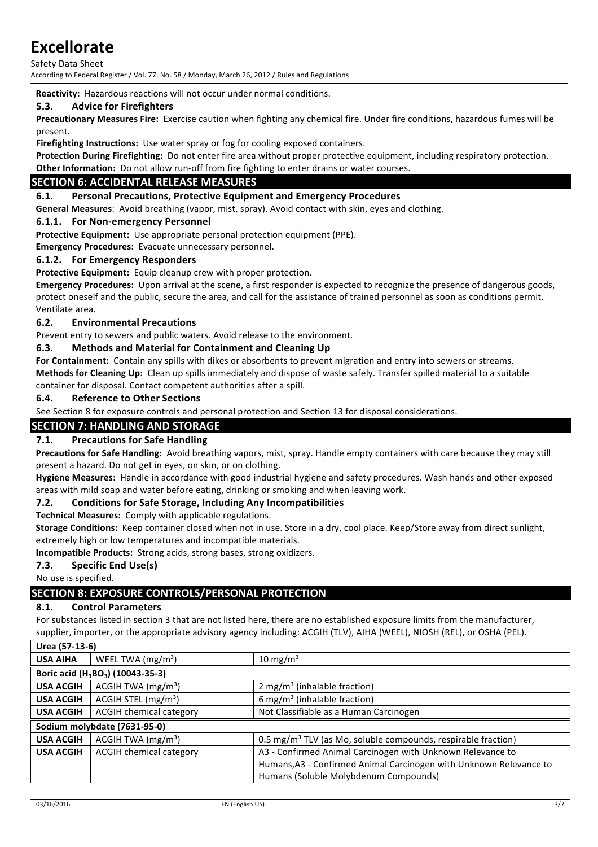Safety Data Sheet According to Federal Register / Vol. 77, No. 58 / Monday, March 26, 2012 / Rules and Regulations

**Reactivity:** Hazardous reactions will not occur under normal conditions.

### **5.3.** Advice for Firefighters

**Precautionary Measures Fire:** Exercise caution when fighting any chemical fire. Under fire conditions, hazardous fumes will be present.

**Firefighting Instructions:** Use water spray or fog for cooling exposed containers.

Protection During Firefighting: Do not enter fire area without proper protective equipment, including respiratory protection. **Other Information:** Do not allow run-off from fire fighting to enter drains or water courses.

### **SECTION 6: ACCIDENTAL RELEASE MEASURES**

### **6.1.** Personal Precautions, Protective Equipment and Emergency Procedures

**General Measures:** Avoid breathing (vapor, mist, spray). Avoid contact with skin, eyes and clothing.

### **6.1.1. For Non-emergency Personnel**

**Protective Equipment:** Use appropriate personal protection equipment (PPE).

**Emergency Procedures:** Evacuate unnecessary personnel.

### **6.1.2. For Emergency Responders**

**Protective Equipment:** Equip cleanup crew with proper protection.

**Emergency Procedures:** Upon arrival at the scene, a first responder is expected to recognize the presence of dangerous goods, protect oneself and the public, secure the area, and call for the assistance of trained personnel as soon as conditions permit. Ventilate area.

### **6.2. Environmental Precautions**

Prevent entry to sewers and public waters. Avoid release to the environment.

### **6.3. Methods and Material for Containment and Cleaning Up**

For Containment: Contain any spills with dikes or absorbents to prevent migration and entry into sewers or streams. **Methods for Cleaning Up:** Clean up spills immediately and dispose of waste safely. Transfer spilled material to a suitable container for disposal. Contact competent authorities after a spill.

### **6.4. Reference to Other Sections**

See Section 8 for exposure controls and personal protection and Section 13 for disposal considerations.

### **SECTION 7: HANDLING AND STORAGE**

### **7.1.** Precautions for Safe Handling

Precautions for Safe Handling: Avoid breathing vapors, mist, spray. Handle empty containers with care because they may still present a hazard. Do not get in eyes, on skin, or on clothing.

Hygiene Measures: Handle in accordance with good industrial hygiene and safety procedures. Wash hands and other exposed areas with mild soap and water before eating, drinking or smoking and when leaving work.

### **7.2.** Conditions for Safe Storage, Including Any Incompatibilities

**Technical Measures:** Comply with applicable regulations.

**Storage Conditions:** Keep container closed when not in use. Store in a dry, cool place. Keep/Store away from direct sunlight, extremely high or low temperatures and incompatible materials.

**Incompatible Products:** Strong acids, strong bases, strong oxidizers.

### **7.3.** Specific End Use(s)

No use is specified.

### **SECTION 8: EXPOSURE CONTROLS/PERSONAL PROTECTION**

#### **8.1. Control Parameters**

For substances listed in section 3 that are not listed here, there are no established exposure limits from the manufacturer, supplier, importer, or the appropriate advisory agency including: ACGIH (TLV), AIHA (WEEL), NIOSH (REL), or OSHA (PEL).

**Urea (57-13-6)**

| Urea (57-13-6)               |                                                           |                                                                           |
|------------------------------|-----------------------------------------------------------|---------------------------------------------------------------------------|
| <b>USA AIHA</b>              | WEEL TWA $(mg/m3)$                                        | 10 mg/m <sup>3</sup>                                                      |
|                              | Boric acid (H <sub>3</sub> BO <sub>3</sub> ) (10043-35-3) |                                                                           |
| <b>USA ACGIH</b>             | ACGIH TWA $(mg/m3)$                                       | 2 mg/m <sup>3</sup> (inhalable fraction)                                  |
| <b>USA ACGIH</b>             | ACGIH STEL (mg/m <sup>3</sup> )                           | $6 \text{ mg/m}^3$ (inhalable fraction)                                   |
| <b>USA ACGIH</b>             | <b>ACGIH chemical category</b>                            | Not Classifiable as a Human Carcinogen                                    |
| Sodium molybdate (7631-95-0) |                                                           |                                                                           |
| <b>USA ACGIH</b>             | ACGIH TWA $(mg/m3)$                                       | 0.5 mg/m <sup>3</sup> TLV (as Mo, soluble compounds, respirable fraction) |
| <b>USA ACGIH</b>             | <b>ACGIH chemical category</b>                            | A3 - Confirmed Animal Carcinogen with Unknown Relevance to                |
|                              |                                                           | Humans, A3 - Confirmed Animal Carcinogen with Unknown Relevance to        |
|                              |                                                           | Humans (Soluble Molybdenum Compounds)                                     |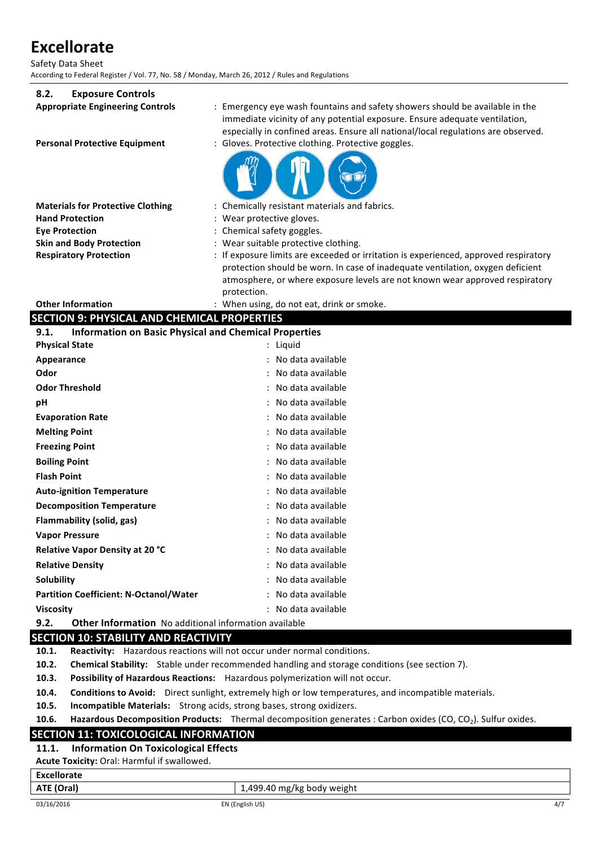Safety Data Sheet According to Federal Register / Vol. 77, No. 58 / Monday, March 26, 2012 / Rules and Regulations

### **8.2. Exposure Controls**

| o.z.<br><b>LAPUSULE CUTTLINIS</b>                  |                                                                                                                                                                                                                                                                       |
|----------------------------------------------------|-----------------------------------------------------------------------------------------------------------------------------------------------------------------------------------------------------------------------------------------------------------------------|
| <b>Appropriate Engineering Controls</b>            | : Emergency eye wash fountains and safety showers should be available in the<br>immediate vicinity of any potential exposure. Ensure adequate ventilation,<br>especially in confined areas. Ensure all national/local regulations are observed.                       |
| <b>Personal Protective Equipment</b>               | : Gloves. Protective clothing. Protective goggles.                                                                                                                                                                                                                    |
| <b>Materials for Protective Clothing</b>           | : Chemically resistant materials and fabrics.                                                                                                                                                                                                                         |
| <b>Hand Protection</b>                             | : Wear protective gloves.                                                                                                                                                                                                                                             |
| <b>Eye Protection</b>                              | : Chemical safety goggles.                                                                                                                                                                                                                                            |
| <b>Skin and Body Protection</b>                    | : Wear suitable protective clothing.                                                                                                                                                                                                                                  |
| <b>Respiratory Protection</b>                      | : If exposure limits are exceeded or irritation is experienced, approved respiratory<br>protection should be worn. In case of inadequate ventilation, oxygen deficient<br>atmosphere, or where exposure levels are not known wear approved respiratory<br>protection. |
| <b>Other Information</b>                           | : When using, do not eat, drink or smoke.                                                                                                                                                                                                                             |
| <b>SECTION 9: PHYSICAL AND CHEMICAL PROPERTIES</b> |                                                                                                                                                                                                                                                                       |
| 9.1.                                               | <b>Information on Basic Physical and Chemical Properties</b>                                                                                                                                                                                                          |
| <b>Physical State</b>                              | : Liquid                                                                                                                                                                                                                                                              |
| Appearance                                         | : No data available                                                                                                                                                                                                                                                   |
| Odor                                               | No data available                                                                                                                                                                                                                                                     |
| <b>Odor Threshold</b>                              | : No data available                                                                                                                                                                                                                                                   |
| рH                                                 | : No data available                                                                                                                                                                                                                                                   |
| <b>Evaporation Rate</b>                            | No data available                                                                                                                                                                                                                                                     |
| <b>Melting Point</b>                               | No data available                                                                                                                                                                                                                                                     |
| <b>Freezing Point</b>                              | No data available                                                                                                                                                                                                                                                     |

| <b>Boiling Point</b>                          | : No data available |
|-----------------------------------------------|---------------------|
| <b>Flash Point</b>                            | : No data available |
| <b>Auto-ignition Temperature</b>              | : No data available |
| <b>Decomposition Temperature</b>              | : No data available |
| Flammability (solid, gas)                     | : No data available |
| Vapor Pressure                                | : No data available |
| <b>Relative Vapor Density at 20 °C</b>        | : No data available |
| <b>Relative Density</b>                       | : No data available |
| Solubility                                    | : No data available |
| <b>Partition Coefficient: N-Octanol/Water</b> | : No data available |
| Viscositv                                     | : No data available |
|                                               |                     |

**9.2. Other Information** No additional information available

### **SECTION 10: STABILITY AND REACTIVITY**

**10.1.** Reactivity: Hazardous reactions will not occur under normal conditions.

**10.2.** Chemical Stability: Stable under recommended handling and storage conditions (see section 7).

**10.3.** Possibility of Hazardous Reactions: Hazardous polymerization will not occur.

**10.4.** Conditions to Avoid: Direct sunlight, extremely high or low temperatures, and incompatible materials.

**10.5.** Incompatible Materials: Strong acids, strong bases, strong oxidizers.

**10.6.** Hazardous Decomposition Products: Thermal decomposition generates : Carbon oxides (CO, CO<sub>2</sub>). Sulfur oxides.

### **SECTION 11: TOXICOLOGICAL INFORMATION**

#### **11.1. Information On Toxicological Effects**

Acute Toxicity: Oral: Harmful if swallowed.

**Excellorate**

**ATE (Oral) ATE (Oral) 1,499.40** mg/kg body weight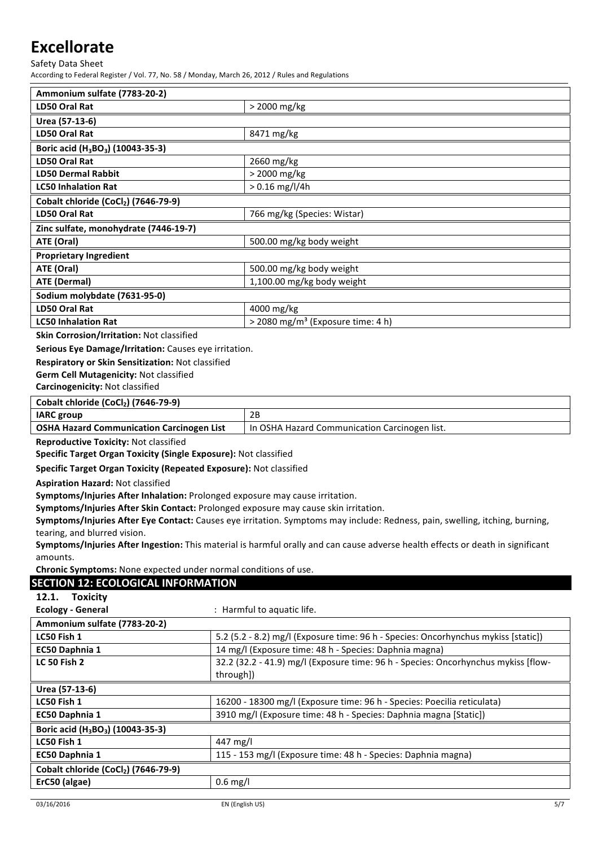Safety Data Sheet

According to Federal Register / Vol. 77, No. 58 / Monday, March 26, 2012 / Rules and Regulations

| Ammonium sulfate (7783-20-2)                                                                                   |                                               |
|----------------------------------------------------------------------------------------------------------------|-----------------------------------------------|
| LD50 Oral Rat                                                                                                  | > 2000 mg/kg                                  |
| Urea (57-13-6)                                                                                                 |                                               |
| LD50 Oral Rat                                                                                                  | 8471 mg/kg                                    |
| Boric acid (H <sub>3</sub> BO <sub>3</sub> ) (10043-35-3)                                                      |                                               |
| LD50 Oral Rat                                                                                                  | 2660 mg/kg                                    |
| <b>LD50 Dermal Rabbit</b>                                                                                      | > 2000 mg/kg                                  |
| <b>LC50 Inhalation Rat</b>                                                                                     | $> 0.16$ mg/l/4h                              |
| Cobalt chloride (CoCl2) (7646-79-9)                                                                            |                                               |
| LD50 Oral Rat                                                                                                  | 766 mg/kg (Species: Wistar)                   |
| Zinc sulfate, monohydrate (7446-19-7)                                                                          |                                               |
| ATE (Oral)                                                                                                     | 500.00 mg/kg body weight                      |
| <b>Proprietary Ingredient</b>                                                                                  |                                               |
| ATE (Oral)                                                                                                     | 500.00 mg/kg body weight                      |
| ATE (Dermal)                                                                                                   | 1,100.00 mg/kg body weight                    |
| Sodium molybdate (7631-95-0)                                                                                   |                                               |
| LD50 Oral Rat                                                                                                  | 4000 mg/kg                                    |
| <b>LC50 Inhalation Rat</b>                                                                                     | > 2080 mg/m <sup>3</sup> (Exposure time: 4 h) |
| eldu est traditionalment de l'annoncerne de la professione de la professione de la professione de la professio |                                               |

**Skin Corrosion/Irritation: Not classified** 

**Serious Eye Damage/Irritation:** Causes eye irritation.

**Respiratory or Skin Sensitization: Not classified** 

**Germ Cell Mutagenicity: Not classified** 

**Carcinogenicity:** Not classified

### **Cobalt chloride (CoCl2)** (7646-79-9)

| <b>IARC</b> group                                | ח ר                                             |
|--------------------------------------------------|-------------------------------------------------|
| <b>OSHA Hazard Communication Carcinogen List</b> | 1 In OSHA Hazard Communication Carcinogen list. |

**Reproductive Toxicity: Not classified** 

**Specific Target Organ Toxicity (Single Exposure):** Not classified

**Specific Target Organ Toxicity (Repeated Exposure):** Not classified

**Aspiration Hazard: Not classified** 

**Symptoms/Injuries After Inhalation:** Prolonged exposure may cause irritation.

**Symptoms/Injuries After Skin Contact: Prolonged exposure may cause skin irritation.** 

Symptoms/Injuries After Eye Contact: Causes eye irritation. Symptoms may include: Redness, pain, swelling, itching, burning, tearing, and blurred vision.

Symptoms/Injuries After Ingestion: This material is harmful orally and can cause adverse health effects or death in significant amounts.

**Chronic Symptoms:** None expected under normal conditions of use.

### **SECTION 12: ECOLOGICAL INFORMATION**

**Ecology - General** : Harmful to aquatic life.

| Ammonium sulfate (7783-20-2)                              |                                                                                    |
|-----------------------------------------------------------|------------------------------------------------------------------------------------|
| LC50 Fish 1                                               | 5.2 (5.2 - 8.2) mg/l (Exposure time: 96 h - Species: Oncorhynchus mykiss [static]) |
| EC50 Daphnia 1                                            | 14 mg/l (Exposure time: 48 h - Species: Daphnia magna)                             |
| <b>LC 50 Fish 2</b>                                       | 32.2 (32.2 - 41.9) mg/l (Exposure time: 96 h - Species: Oncorhynchus mykiss [flow- |
|                                                           | through])                                                                          |
| Urea (57-13-6)                                            |                                                                                    |
| LC50 Fish 1                                               | 16200 - 18300 mg/l (Exposure time: 96 h - Species: Poecilia reticulata)            |
| EC50 Daphnia 1                                            | 3910 mg/l (Exposure time: 48 h - Species: Daphnia magna [Static])                  |
| Boric acid (H <sub>3</sub> BO <sub>3</sub> ) (10043-35-3) |                                                                                    |
| LC50 Fish 1                                               | 447 mg/l                                                                           |
| EC50 Daphnia 1                                            | 115 - 153 mg/l (Exposure time: 48 h - Species: Daphnia magna)                      |
| Cobalt chloride (CoCl2) (7646-79-9)                       |                                                                                    |
| ErC50 (algae)                                             | $0.6$ mg/l                                                                         |
|                                                           |                                                                                    |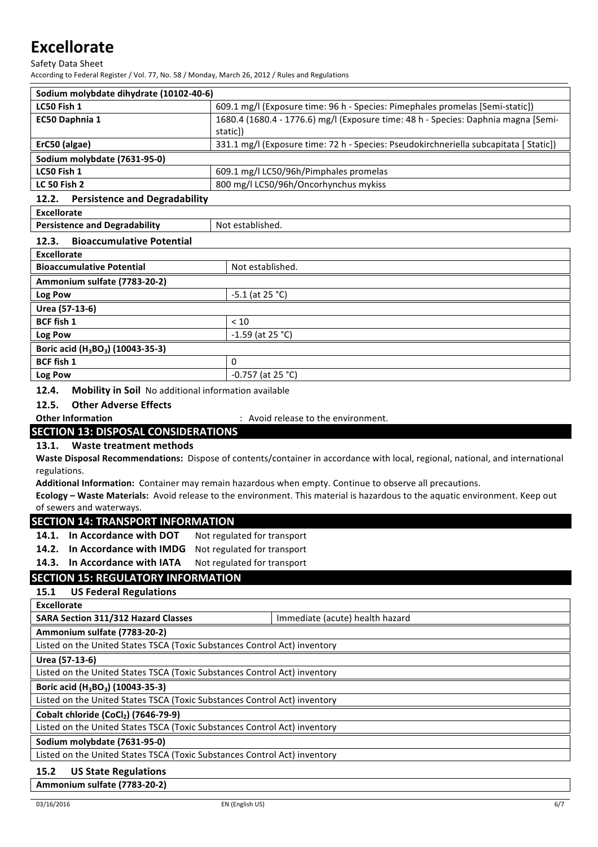Safety Data Sheet

According to Federal Register / Vol. 77, No. 58 / Monday, March 26, 2012 / Rules and Regulations

| Sodium molybdate dihydrate (10102-40-6) |                                                                                       |
|-----------------------------------------|---------------------------------------------------------------------------------------|
| LC50 Fish 1                             | 609.1 mg/l (Exposure time: 96 h - Species: Pimephales promelas [Semi-static])         |
| EC50 Daphnia 1                          | 1680.4 (1680.4 - 1776.6) mg/l (Exposure time: 48 h - Species: Daphnia magna [Semi-    |
|                                         | static])                                                                              |
| ErC50 (algae)                           | 331.1 mg/l (Exposure time: 72 h - Species: Pseudokirchneriella subcapitata [ Static]) |
| Sodium molybdate (7631-95-0)            |                                                                                       |
| LC50 Fish 1                             | 609.1 mg/l LC50/96h/Pimphales promelas                                                |
| <b>LC 50 Fish 2</b>                     | 800 mg/l LC50/96h/Oncorhynchus mykiss                                                 |
| $\sim$ $\sim$<br>                       |                                                                                       |

#### **12.2. Persistence and Degradability**

| <b>Excellorate</b>                                        |                     |  |
|-----------------------------------------------------------|---------------------|--|
| <b>Persistence and Degradability</b>                      | Not established.    |  |
| <b>Bioaccumulative Potential</b><br>12.3.                 |                     |  |
| <b>Excellorate</b>                                        |                     |  |
| <b>Bioaccumulative Potential</b>                          | Not established.    |  |
| Ammonium sulfate (7783-20-2)                              |                     |  |
| Log Pow                                                   | $-5.1$ (at 25 °C)   |  |
| Urea (57-13-6)                                            |                     |  |
| <b>BCF fish 1</b>                                         | < 10                |  |
| Log Pow                                                   | $-1.59$ (at 25 °C)  |  |
| Boric acid (H <sub>3</sub> BO <sub>3</sub> ) (10043-35-3) |                     |  |
| <b>BCF fish 1</b>                                         | 0                   |  |
| Log Pow                                                   | $-0.757$ (at 25 °C) |  |
|                                                           |                     |  |

### **12.4.** Mobility in Soil No additional information available

12.5. Other Adverse Effects

**Other Information** : Avoid release to the environment.

### **SECTION 13: DISPOSAL CONSIDERATIONS**

### 13.1. Waste treatment methods

Waste Disposal Recommendations: Dispose of contents/container in accordance with local, regional, national, and international regulations.

Additional Information: Container may remain hazardous when empty. Continue to observe all precautions.

**Ecology** – Waste Materials: Avoid release to the environment. This material is hazardous to the aquatic environment. Keep out of sewers and waterways.

### **SECTION 14: TRANSPORT INFORMATION**

14.1. In Accordance with DOT Not regulated for transport

**14.2.** In Accordance with IMDG Not regulated for transport

**14.3.** In Accordance with IATA Not regulated for transport

### **SECTION 15: REGULATORY INFORMATION**

### **15.1 US Federal Regulations**

**SARA Section 311/312 Hazard Classes** Immediate (acute) health hazard

**Ammonium sulfate (7783-20-2)**

Listed on the United States TSCA (Toxic Substances Control Act) inventory

**Urea (57-13-6)**

Listed on the United States TSCA (Toxic Substances Control Act) inventory

### **Boric acid (H3BO3) (10043-35-3)**

Listed on the United States TSCA (Toxic Substances Control Act) inventory

### Cobalt chloride (CoCl<sub>2</sub>) (7646-79-9)

Listed on the United States TSCA (Toxic Substances Control Act) inventory

### **Sodium molybdate (7631-95-0)**

Listed on the United States TSCA (Toxic Substances Control Act) inventory

### **15.2** US State Regulations

**Ammonium sulfate (7783-20-2)**